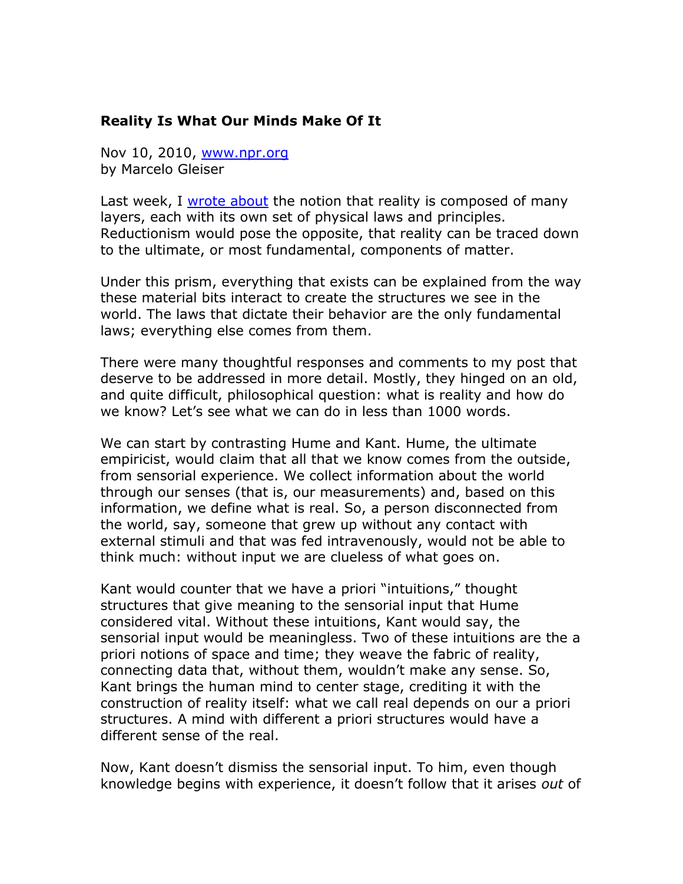## **Reality Is What Our Minds Make Of It**

Nov 10, 2010, [www.npr.org](http://www.npr.org/) by Marcelo Gleiser

Last week, I [wrote about](http://www.npr.org/blogs/13.7/2010/11/02/131000637/our-many-layered-reality-how-far-can-we-go) the notion that reality is composed of many layers, each with its own set of physical laws and principles. Reductionism would pose the opposite, that reality can be traced down to the ultimate, or most fundamental, components of matter.

Under this prism, everything that exists can be explained from the way these material bits interact to create the structures we see in the world. The laws that dictate their behavior are the only fundamental laws; everything else comes from them.

There were many thoughtful responses and comments to my post that deserve to be addressed in more detail. Mostly, they hinged on an old, and quite difficult, philosophical question: what is reality and how do we know? Let's see what we can do in less than 1000 words.

We can start by contrasting Hume and Kant. Hume, the ultimate empiricist, would claim that all that we know comes from the outside, from sensorial experience. We collect information about the world through our senses (that is, our measurements) and, based on this information, we define what is real. So, a person disconnected from the world, say, someone that grew up without any contact with external stimuli and that was fed intravenously, would not be able to think much: without input we are clueless of what goes on.

Kant would counter that we have a priori "intuitions," thought structures that give meaning to the sensorial input that Hume considered vital. Without these intuitions, Kant would say, the sensorial input would be meaningless. Two of these intuitions are the a priori notions of space and time; they weave the fabric of reality, connecting data that, without them, wouldn't make any sense. So, Kant brings the human mind to center stage, crediting it with the construction of reality itself: what we call real depends on our a priori structures. A mind with different a priori structures would have a different sense of the real.

Now, Kant doesn't dismiss the sensorial input. To him, even though knowledge begins with experience, it doesn't follow that it arises *out* of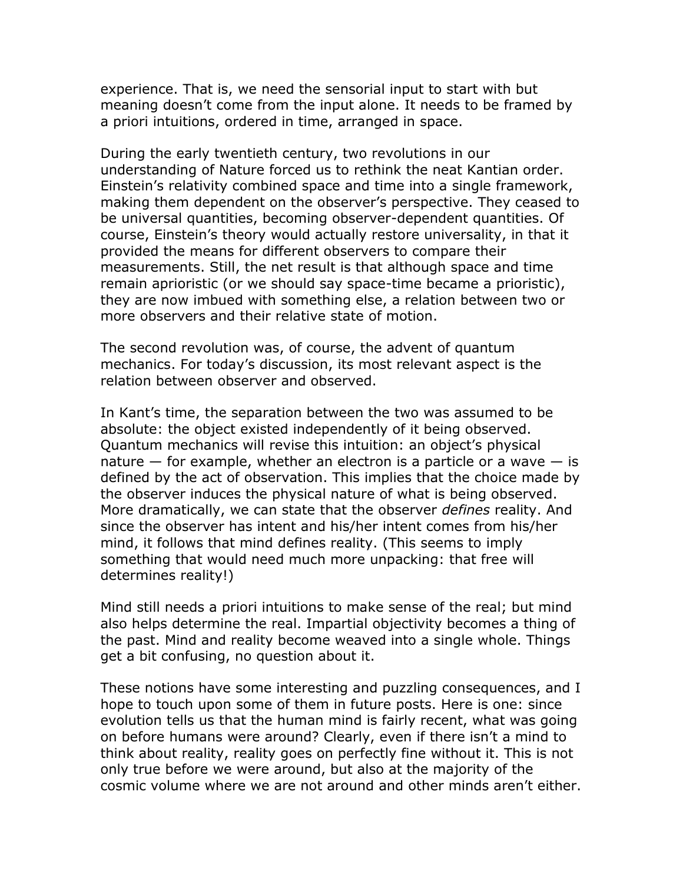experience. That is, we need the sensorial input to start with but meaning doesn't come from the input alone. It needs to be framed by a priori intuitions, ordered in time, arranged in space.

During the early twentieth century, two revolutions in our understanding of Nature forced us to rethink the neat Kantian order. Einstein's relativity combined space and time into a single framework, making them dependent on the observer's perspective. They ceased to be universal quantities, becoming observer-dependent quantities. Of course, Einstein's theory would actually restore universality, in that it provided the means for different observers to compare their measurements. Still, the net result is that although space and time remain aprioristic (or we should say space-time became a prioristic), they are now imbued with something else, a relation between two or more observers and their relative state of motion.

The second revolution was, of course, the advent of quantum mechanics. For today's discussion, its most relevant aspect is the relation between observer and observed.

In Kant's time, the separation between the two was assumed to be absolute: the object existed independently of it being observed. Quantum mechanics will revise this intuition: an object's physical nature  $-$  for example, whether an electron is a particle or a wave  $-$  is defined by the act of observation. This implies that the choice made by the observer induces the physical nature of what is being observed. More dramatically, we can state that the observer *defines* reality. And since the observer has intent and his/her intent comes from his/her mind, it follows that mind defines reality. (This seems to imply something that would need much more unpacking: that free will determines reality!)

Mind still needs a priori intuitions to make sense of the real; but mind also helps determine the real. Impartial objectivity becomes a thing of the past. Mind and reality become weaved into a single whole. Things get a bit confusing, no question about it.

These notions have some interesting and puzzling consequences, and I hope to touch upon some of them in future posts. Here is one: since evolution tells us that the human mind is fairly recent, what was going on before humans were around? Clearly, even if there isn't a mind to think about reality, reality goes on perfectly fine without it. This is not only true before we were around, but also at the majority of the cosmic volume where we are not around and other minds aren't either.